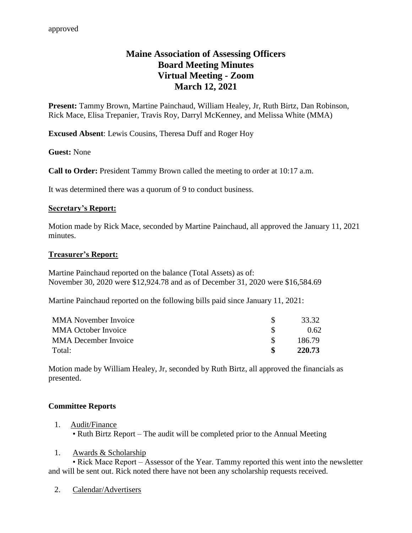# **Maine Association of Assessing Officers Board Meeting Minutes Virtual Meeting - Zoom March 12, 2021**

**Present:** Tammy Brown, Martine Painchaud, William Healey, Jr, Ruth Birtz, Dan Robinson, Rick Mace, Elisa Trepanier, Travis Roy, Darryl McKenney, and Melissa White (MMA)

**Excused Absent**: Lewis Cousins, Theresa Duff and Roger Hoy

**Guest:** None

**Call to Order:** President Tammy Brown called the meeting to order at 10:17 a.m.

It was determined there was a quorum of 9 to conduct business.

#### **Secretary's Report:**

Motion made by Rick Mace, seconded by Martine Painchaud, all approved the January 11, 2021 minutes.

#### **Treasurer's Report:**

Martine Painchaud reported on the balance (Total Assets) as of: November 30, 2020 were \$12,924.78 and as of December 31, 2020 were \$16,584.69

Martine Painchaud reported on the following bills paid since January 11, 2021:

| <b>MMA</b> November Invoice | 33.32  |
|-----------------------------|--------|
| <b>MMA October Invoice</b>  | 0.62   |
| MMA December Invoice        | 186.79 |
| Total:                      | 220.73 |

Motion made by William Healey, Jr, seconded by Ruth Birtz, all approved the financials as presented.

#### **Committee Reports**

- 1. Audit/Finance • Ruth Birtz Report – The audit will be completed prior to the Annual Meeting
- 1. Awards & Scholarship

• Rick Mace Report – Assessor of the Year. Tammy reported this went into the newsletter and will be sent out. Rick noted there have not been any scholarship requests received.

2. Calendar/Advertisers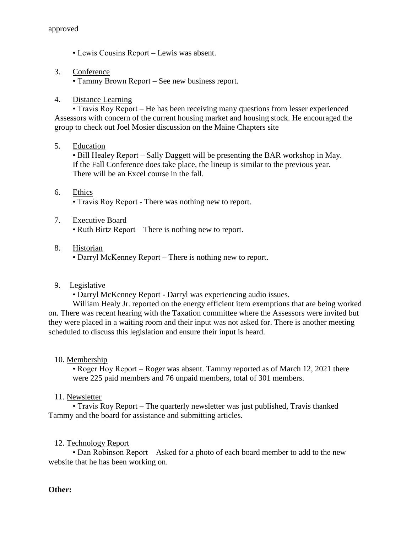- Lewis Cousins Report Lewis was absent.
- 3. Conference

• Tammy Brown Report – See new business report.

4. Distance Learning

• Travis Roy Report – He has been receiving many questions from lesser experienced Assessors with concern of the current housing market and housing stock. He encouraged the group to check out Joel Mosier discussion on the Maine Chapters site

5. Education

• Bill Healey Report – Sally Daggett will be presenting the BAR workshop in May. If the Fall Conference does take place, the lineup is similar to the previous year. There will be an Excel course in the fall.

## 6. Ethics • Travis Roy Report - There was nothing new to report.

7. Executive Board

• Ruth Birtz Report – There is nothing new to report.

8. Historian

• Darryl McKenney Report – There is nothing new to report.

9. Legislative

• Darryl McKenney Report - Darryl was experiencing audio issues.

William Healy Jr. reported on the energy efficient item exemptions that are being worked on. There was recent hearing with the Taxation committee where the Assessors were invited but they were placed in a waiting room and their input was not asked for. There is another meeting scheduled to discuss this legislation and ensure their input is heard.

## 10. Membership

• Roger Hoy Report – Roger was absent. Tammy reported as of March 12, 2021 there were 225 paid members and 76 unpaid members, total of 301 members.

#### 11. Newsletter

• Travis Roy Report – The quarterly newsletter was just published, Travis thanked Tammy and the board for assistance and submitting articles.

#### 12. Technology Report

• Dan Robinson Report – Asked for a photo of each board member to add to the new website that he has been working on.

#### **Other:**